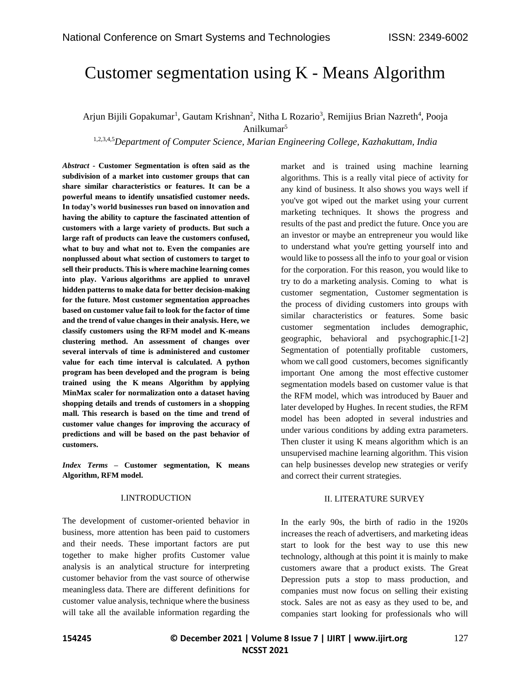# Customer segmentation using K - Means Algorithm

# Arjun Bijili Gopakumar<sup>1</sup>, Gautam Krishnan<sup>2</sup>, Nitha L Rozario<sup>3</sup>, Remijius Brian Nazreth<sup>4</sup>, Pooja Anilkumar<sup>5</sup>

1,2,3,4,5*Department of Computer Science, Marian Engineering College, Kazhakuttam, India*

*Abstract -* **Customer Segmentation is often said as the subdivision of a market into customer groups that can share similar characteristics or features. It can be a powerful means to identify unsatisfied customer needs. In today's world businesses run based on innovation and having the ability to capture the fascinated attention of customers with a large variety of products. But such a large raft of products can leave the customers confused, what to buy and what not to. Even the companies are nonplussed about what section of customers to target to sell their products. This is where machine learning comes into play. Various algorithms are applied to unravel hidden patterns to make data for better decision-making for the future. Most customer segmentation approaches based on customer value fail to look for the factor of time and the trend of value changes in their analysis. Here, we classify customers using the RFM model and K-means clustering method. An assessment of changes over several intervals of time is administered and customer value for each time interval is calculated. A python program has been developed and the program is being trained using the K means Algorithm by applying MinMax scaler for normalization onto a dataset having shopping details and trends of customers in a shopping mall. This research is based on the time and trend of customer value changes for improving the accuracy of predictions and will be based on the past behavior of customers.**

*Index Terms –* **Customer segmentation, K means Algorithm, RFM model.**

#### I.INTRODUCTION

The development of customer-oriented behavior in business, more attention has been paid to customers and their needs. These important factors are put together to make higher profits Customer value analysis is an analytical structure for interpreting customer behavior from the vast source of otherwise meaningless data. There are different definitions for customer value analysis, technique where the business will take all the available information regarding the market and is trained using machine learning algorithms. This is a really vital piece of activity for any kind of business. It also shows you ways well if you've got wiped out the market using your current marketing techniques. It shows the progress and results of the past and predict the future. Once you are an investor or maybe an entrepreneur you would like to understand what you're getting yourself into and would like to possess all the info to your goal or vision for the corporation. For this reason, you would like to try to do a marketing analysis. Coming to what is customer segmentation, Customer segmentation is the process of dividing customers into groups with similar characteristics or features. Some basic customer segmentation includes demographic, geographic, behavioral and psychographic.[1-2] Segmentation of potentially profitable customers, whom we call good customers, becomes significantly important One among the most effective customer segmentation models based on customer value is that the RFM model, which was introduced by Bauer and later developed by Hughes. In recent studies, the RFM model has been adopted in several industries and under various conditions by adding extra parameters. Then cluster it using K means algorithm which is an unsupervised machine learning algorithm. This vision can help businesses develop new strategies or verify and correct their current strategies.

#### II. LITERATURE SURVEY

In the early 90s, the birth of radio in the 1920s increases the reach of advertisers, and marketing ideas start to look for the best way to use this new technology, although at this point it is mainly to make customers aware that a product exists. The Great Depression puts a stop to mass production, and companies must now focus on selling their existing stock. Sales are not as easy as they used to be, and companies start looking for professionals who will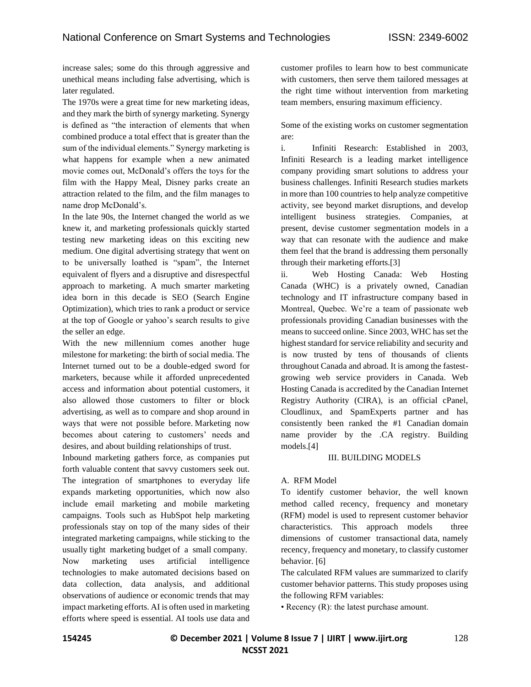increase sales; some do this through aggressive and unethical means including false advertising, which is later regulated.

The 1970s were a great time for new marketing ideas, and they mark the birth of synergy marketing. Synergy is defined as "the interaction of elements that when combined produce a total effect that is greater than the sum of the individual elements." Synergy marketing is what happens for example when a new animated movie comes out, McDonald's offers the toys for the film with the Happy Meal, Disney parks create an attraction related to the film, and the film manages to name drop McDonald's.

In the late 90s, the Internet changed the world as we knew it, and marketing professionals quickly started testing new marketing ideas on this exciting new medium. One digital advertising strategy that went on to be universally loathed is "spam", the Internet equivalent of flyers and a disruptive and disrespectful approach to marketing. A much smarter marketing idea born in this decade is SEO (Search Engine Optimization), which tries to rank a product or service at the top of Google or yahoo's search results to give the seller an edge.

With the new millennium comes another huge milestone for marketing: the birth of social media. The Internet turned out to be a double-edged sword for marketers, because while it afforded unprecedented access and information about potential customers, it also allowed those customers to filter or block advertising, as well as to compare and shop around in ways that were not possible before. Marketing now becomes about catering to customers' needs and desires, and about building relationships of trust.

Inbound marketing gathers force, as companies put forth valuable content that savvy customers seek out. The integration of smartphones to everyday life expands marketing opportunities, which now also include email marketing and mobile marketing campaigns. Tools such as HubSpot help marketing professionals stay on top of the many sides of their integrated marketing campaigns, while sticking to the usually tight marketing budget of a small company. Now marketing uses artificial intelligence technologies to make automated decisions based on data collection, data analysis, and additional observations of audience or economic trends that may impact marketing efforts. AI is often used in marketing efforts where speed is essential. AI tools use data and customer profiles to learn how to best communicate with customers, then serve them tailored messages at the right time without intervention from marketing team members, ensuring maximum efficiency.

Some of the existing works on customer segmentation are:

i. Infiniti Research: Established in 2003, Infiniti Research is a leading market intelligence company providing smart solutions to address your business challenges. Infiniti Research studies markets in more than 100 countries to help analyze competitive activity, see beyond market disruptions, and develop intelligent business strategies. Companies, at present, devise customer segmentation models in a way that can resonate with the audience and make them feel that the brand is addressing them personally through their marketing efforts.[3]

ii. Web Hosting Canada: Web Hosting Canada (WHC) is a privately owned, Canadian technology and IT infrastructure company based in Montreal, Quebec. We're a team of passionate web professionals providing Canadian businesses with the means to succeed online. Since 2003, WHC has set the highest standard for service reliability and security and is now trusted by tens of thousands of clients throughout Canada and abroad. It is among the fastestgrowing web service providers in Canada. Web Hosting Canada is accredited by the Canadian Internet Registry Authority (CIRA), is an official cPanel, Cloudlinux, and SpamExperts partner and has consistently been ranked the #1 Canadian domain name provider by the .CA registry. Building models.[4]

#### III. BUILDING MODELS

#### A. RFM Model

To identify customer behavior, the well known method called recency, frequency and monetary (RFM) model is used to represent customer behavior characteristics. This approach models three dimensions of customer transactional data, namely recency, frequency and monetary, to classify customer behavior. [6]

The calculated RFM values are summarized to clarify customer behavior patterns. This study proposes using the following RFM variables:

• Recency (R): the latest purchase amount.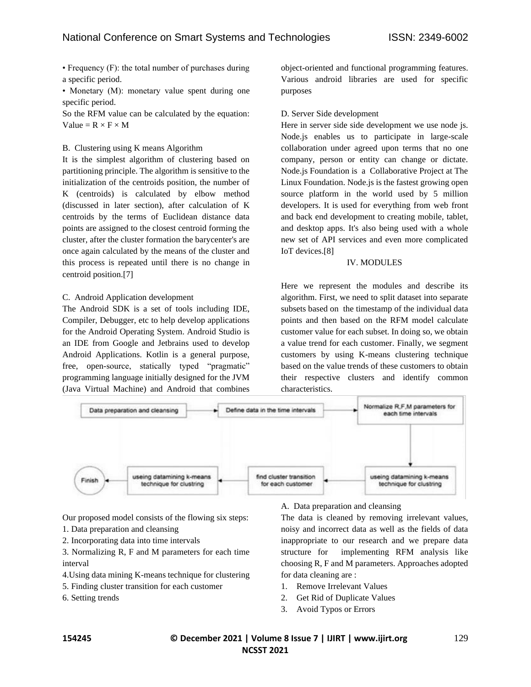• Frequency (F): the total number of purchases during a specific period.

• Monetary (M): monetary value spent during one specific period.

So the RFM value can be calculated by the equation: Value =  $R \times F \times M$ 

## B. Clustering using K means Algorithm

It is the simplest algorithm of clustering based on partitioning principle. The algorithm is sensitive to the initialization of the centroids position, the number of K (centroids) is calculated by elbow method (discussed in later section), after calculation of K centroids by the terms of Euclidean distance data points are assigned to the closest centroid forming the cluster, after the cluster formation the barycenter's are once again calculated by the means of the cluster and this process is repeated until there is no change in centroid position.[7]

# C. Android Application development

The Android SDK is a set of tools including IDE, Compiler, Debugger, etc to help develop applications for the Android Operating System. Android Studio is an IDE from Google and Jetbrains used to develop Android Applications. Kotlin is a general purpose, free, open-source, statically typed "pragmatic" programming language initially designed for the JVM (Java Virtual Machine) and Android that combines object-oriented and functional programming features. Various android libraries are used for specific purposes

## D. Server Side development

Here in server side side development we use node js. Node.js enables us to participate in large-scale collaboration under agreed upon terms that no one company, person or entity can change or dictate. Node.js Foundation is a Collaborative Project at The Linux Foundation. Node.js is the fastest growing open source platform in the world used by 5 million developers. It is used for everything from web front and back end development to creating mobile, tablet, and desktop apps. It's also being used with a whole new set of API services and even more complicated IoT devices.[8]

## IV. MODULES

Here we represent the modules and describe its algorithm. First, we need to split dataset into separate subsets based on the timestamp of the individual data points and then based on the RFM model calculate customer value for each subset. In doing so, we obtain a value trend for each customer. Finally, we segment customers by using K-means clustering technique based on the value trends of these customers to obtain their respective clusters and identify common characteristics.



Our proposed model consists of the flowing six steps:

- 1. Data preparation and cleansing
- 2. Incorporating data into time intervals

3. Normalizing R, F and M parameters for each time interval

- 4.Using data mining K-means technique for clustering
- 5. Finding cluster transition for each customer
- 6. Setting trends

A. Data preparation and cleansing

The data is cleaned by removing irrelevant values, noisy and incorrect data as well as the fields of data inappropriate to our research and we prepare data structure for implementing RFM analysis like choosing R, F and M parameters. Approaches adopted for data cleaning are :

- 1. Remove Irrelevant Values
- 2. Get Rid of Duplicate Values
- 3. Avoid Typos or Errors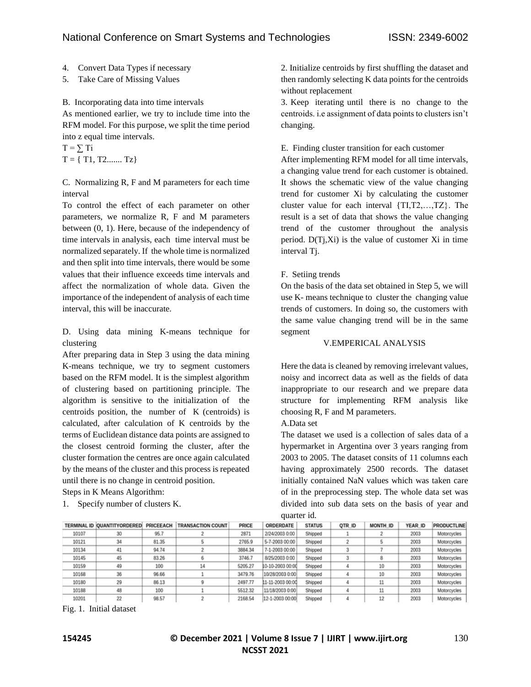- 4. Convert Data Types if necessary
- 5. Take Care of Missing Values

B. Incorporating data into time intervals

As mentioned earlier, we try to include time into the RFM model. For this purpose, we split the time period into z equal time intervals.

 $T = \sum T_i$  $T = \{ T1, T2, \ldots, Tz \}$ 

C. Normalizing R, F and M parameters for each time interval

To control the effect of each parameter on other parameters, we normalize R, F and M parameters between (0, 1). Here, because of the independency of time intervals in analysis, each time interval must be normalized separately. If the whole time is normalized and then split into time intervals, there would be some values that their influence exceeds time intervals and affect the normalization of whole data. Given the importance of the independent of analysis of each time interval, this will be inaccurate.

D. Using data mining K-means technique for clustering

After preparing data in Step 3 using the data mining K-means technique, we try to segment customers based on the RFM model. It is the simplest algorithm of clustering based on partitioning principle. The algorithm is sensitive to the initialization of the centroids position, the number of K (centroids) is calculated, after calculation of K centroids by the terms of Euclidean distance data points are assigned to the closest centroid forming the cluster, after the cluster formation the centres are once again calculated by the means of the cluster and this process is repeated until there is no change in centroid position.

Steps in K Means Algorithm:

1. Specify number of clusters K.

2. Initialize centroids by first shuffling the dataset and then randomly selecting K data points for the centroids without replacement

3. Keep iterating until there is no change to the centroids. i.e assignment of data points to clusters isn't changing.

E. Finding cluster transition for each customer

After implementing RFM model for all time intervals, a changing value trend for each customer is obtained. It shows the schematic view of the value changing trend for customer Xi by calculating the customer cluster value for each interval {TI,T2,…,TZ}. The result is a set of data that shows the value changing trend of the customer throughout the analysis period. D(Tj,Xi) is the value of customer Xi in time interval Tj.

F. Setiing trends

On the basis of the data set obtained in Step 5, we will use K- means technique to cluster the changing value trends of customers. In doing so, the customers with the same value changing trend will be in the same segment

#### V.EMPERICAL ANALYSIS

Here the data is cleaned by removing irrelevant values, noisy and incorrect data as well as the fields of data inappropriate to our research and we prepare data structure for implementing RFM analysis like choosing R, F and M parameters.

A.Data set

The dataset we used is a collection of sales data of a hypermarket in Argentina over 3 years ranging from 2003 to 2005. The dataset consits of 11 columns each having approximately 2500 records. The dataset initially contained NaN values which was taken care of in the preprocessing step. The whole data set was divided into sub data sets on the basis of year and quarter id.

|       | TERMINAL ID IOUANTITYORDEREDI | <b>PRICEEACH</b> | <b>TRANSACTION COUNT</b> | PRICE   | ORDERDATE        | <b>STATUS</b> | QTR ID | MONTH ID | YEAR ID | <b>PRODUCTLINE</b> |
|-------|-------------------------------|------------------|--------------------------|---------|------------------|---------------|--------|----------|---------|--------------------|
| 10107 | 30                            | 95.7             |                          | 2871    | 2/24/2003 0:00   | Shipped       |        |          | 2003    | Motorcycles        |
| 10121 | 34                            | 81.35            |                          | 2765.9  | 5-7-2003 00:00   | Shipped       |        |          | 2003    | Motorcycles        |
| 10134 | 41                            | 94.74            |                          | 3884.34 | 7-1-2003 00:00   | Shipped       |        |          | 2003    | Motorcycles        |
| 10145 | 45                            | 83.26            |                          | 3746.7  | 8/25/2003 0:00   | Shipped       |        |          | 2003    | Motorcycles        |
| 10159 | 49                            | 100              | 14                       | 5205.27 | 10-10-2003 00:00 | Shipped       |        |          | 2003    | Motorcycles        |
| 10168 | 36                            | 96.66            |                          | 3479.76 | 10/28/2003 0:00  | Shipped       |        |          | 2003    | Motorcycles        |
| 10180 | 29                            | 86.13            |                          | 2497.77 | 11-11-2003 00:00 | Shipped       |        |          | 2003    | Motorcycles        |
| 10188 | 48                            | 100              |                          | 5512.32 | 11/18/2003 0:00  | Shipped       |        |          | 2003    | Motorcycles        |
| 10201 | 22                            | 98.57            |                          | 2168.54 | 12-1-2003 00:00  | Shipped       |        | 12       | 2003    | Motorcycles        |

Fig. 1. Initial dataset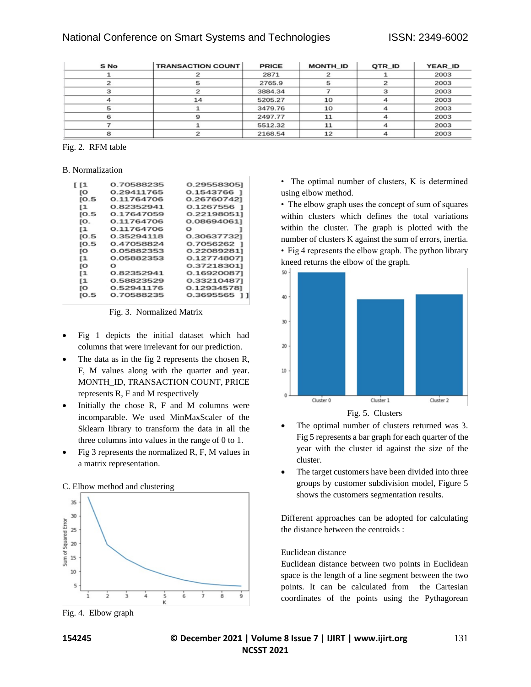| S No | <b>TRANSACTION COUNT</b> | <b>PRICE</b> | MONTH ID | QTR ID | YEAR ID |
|------|--------------------------|--------------|----------|--------|---------|
|      |                          | 2871         |          |        | 2003    |
|      |                          | 2765.9       |          |        | 2003    |
|      |                          | 3884.34      |          |        | 2003    |
|      | 14                       | 5205.27      | 10       |        | 2003    |
| 5    |                          | 3479.76      | 10       |        | 2003    |
|      |                          | 2497.77      | 11       |        | 2003    |
|      |                          | 5512.32      | 11       |        | 2003    |
|      |                          | 2168.54      | 12       |        | 2003    |

#### Fig. 2. RFM table

#### B. Normalization

| ſ [1 | 0.70588235 | 0.29558305] |
|------|------------|-------------|
| ſO   | 0.29411765 | 0.1543766 1 |
| [0.5 | 0.11764706 | 0.267607421 |
| ſ1   | 0.82352941 | 0.1267556 1 |
| [0.5 | 0.17647059 | 0.221980511 |
| ſО.  | 0.11764706 | 0.086940611 |
| ſ1   | 0.11764706 | Ω           |
| [0.5 | 0.35294118 | 0.306377321 |
| [0.5 | 0.47058824 | 0.7056262 1 |
| ſО   | 0.05882353 | 0.220892811 |
| [1   | 0.05882353 | 0.12774807] |
| ſО   | Ω          | 0.37218301] |
| [1   | 0.82352941 | 0.169200871 |
| [1   | 0.58823529 | 0.332104871 |
| ſO   | 0.52941176 | 0.129345781 |
| [O.5 | 0.70588235 | 0.3695565   |
|      |            |             |

#### Fig. 3. Normalized Matrix

- Fig 1 depicts the initial dataset which had columns that were irrelevant for our prediction.
- The data as in the fig 2 represents the chosen R, F, M values along with the quarter and year. MONTH\_ID, TRANSACTION COUNT, PRICE represents R, F and M respectively
- Initially the chose  $R$ ,  $F$  and  $M$  columns were incomparable. We used MinMaxScaler of the Sklearn library to transform the data in all the three columns into values in the range of 0 to 1.
- Fig 3 represents the normalized R, F, M values in a matrix representation.



Fig. 4. Elbow graph

• The optimal number of clusters, K is determined using elbow method.

• The elbow graph uses the concept of sum of squares within clusters which defines the total variations within the cluster. The graph is plotted with the number of clusters K against the sum of errors, inertia.

• Fig 4 represents the elbow graph. The python library kneed returns the elbow of the graph.





- The optimal number of clusters returned was 3. Fig 5 represents a bar graph for each quarter of the year with the cluster id against the size of the cluster.
- The target customers have been divided into three groups by customer subdivision model, Figure 5 shows the customers segmentation results.

Different approaches can be adopted for calculating the distance between the centroids :

#### Euclidean distance

Euclidean distance between two points in Euclidean space is the length of a line segment between the two points. It can be calculated from the Cartesian coordinates of the points using the Pythagorean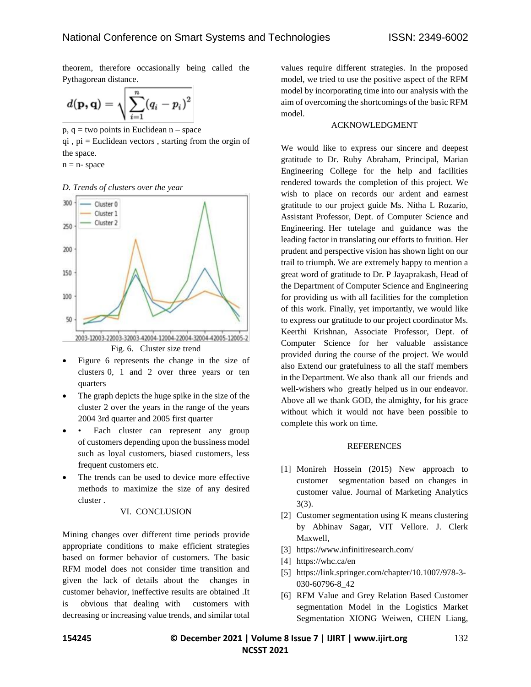theorem, therefore occasionally being called the Pythagorean distance.

$$
d(\mathbf{p},\mathbf{q})=\sqrt{\sum_{i=1}^n(q_i-p_i)^2}
$$

 $p, q = two points in Euclidean  $n$  – space$ 

 $qi$ ,  $pi$  = Euclidean vectors, starting from the orgin of the space.

 $n = n$ - space

#### *D. Trends of clusters over the year*



2003-12003-22003-32003-42004-12004-22004-32004-42005-12005-2 Fig. 6. Cluster size trend

- Figure 6 represents the change in the size of clusters 0, 1 and 2 over three years or ten quarters
- The graph depicts the huge spike in the size of the cluster 2 over the years in the range of the years 2004 3rd quarter and 2005 first quarter
- Each cluster can represent any group of customers depending upon the bussiness model such as loyal customers, biased customers, less frequent customers etc.
- The trends can be used to device more effective methods to maximize the size of any desired cluster .

#### VI. CONCLUSION

Mining changes over different time periods provide appropriate conditions to make efficient strategies based on former behavior of customers. The basic RFM model does not consider time transition and given the lack of details about the changes in customer behavior, ineffective results are obtained .It is obvious that dealing with customers with decreasing or increasing value trends, and similar total

values require different strategies. In the proposed model, we tried to use the positive aspect of the RFM model by incorporating time into our analysis with the aim of overcoming the shortcomings of the basic RFM model.

#### ACKNOWLEDGMENT

We would like to express our sincere and deepest gratitude to Dr. Ruby Abraham, Principal, Marian Engineering College for the help and facilities rendered towards the completion of this project. We wish to place on records our ardent and earnest gratitude to our project guide Ms. Nitha L Rozario, Assistant Professor, Dept. of Computer Science and Engineering. Her tutelage and guidance was the leading factor in translating our efforts to fruition. Her prudent and perspective vision has shown light on our trail to triumph. We are extremely happy to mention a great word of gratitude to Dr. P Jayaprakash, Head of the Department of Computer Science and Engineering for providing us with all facilities for the completion of this work. Finally, yet importantly, we would like to express our gratitude to our project coordinator Ms. Keerthi Krishnan, Associate Professor, Dept. of Computer Science for her valuable assistance provided during the course of the project. We would also Extend our gratefulness to all the staff members in the Department. We also thank all our friends and well-wishers who greatly helped us in our endeavor. Above all we thank GOD, the almighty, for his grace without which it would not have been possible to complete this work on time.

#### **REFERENCES**

- [1] Monireh Hossein (2015) New approach to customer segmentation based on changes in customer value. Journal of Marketing Analytics 3(3).
- [2] Customer segmentation using K means clustering by Abhinav Sagar, VIT Vellore. J. Clerk Maxwell,
- [3] https://www.infinitiresearch.com/
- [4] https://whc.ca/en
- [5] https://link.springer.com/chapter/10.1007/978-3- 030-60796-8\_42
- [6] RFM Value and Grey Relation Based Customer segmentation Model in the Logistics Market Segmentation XIONG Weiwen, CHEN Liang,